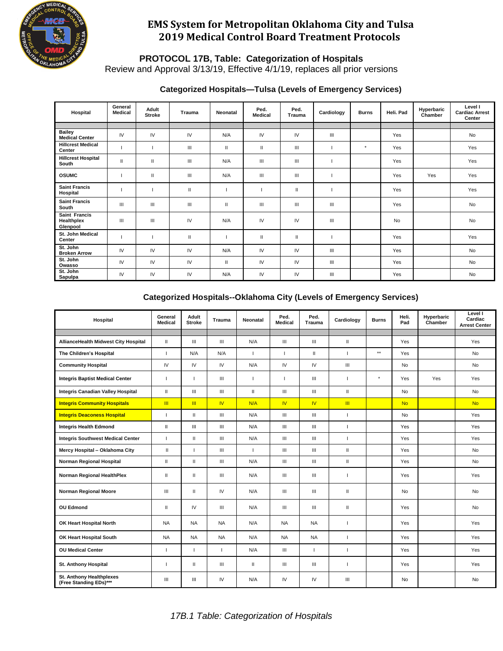

**PROTOCOL 17B, Table: Categorization of Hospitals**

Review and Approval 3/13/19, Effective 4/1/19, replaces all prior versions

#### **Categorized Hospitals—Tulsa (Levels of Emergency Services)**

| Hospital                                | General<br><b>Medical</b> | Adult<br><b>Stroke</b> | <b>Trauma</b> | Neonatal | Ped.<br><b>Medical</b> | Ped.<br><b>Trauma</b> | Cardiology | <b>Burns</b> | Heli, Pad | Hyperbaric<br>Chamber | Level I<br><b>Cardiac Arrest</b><br>Center |
|-----------------------------------------|---------------------------|------------------------|---------------|----------|------------------------|-----------------------|------------|--------------|-----------|-----------------------|--------------------------------------------|
|                                         |                           |                        |               |          |                        |                       |            |              |           |                       |                                            |
| <b>Bailey</b><br><b>Medical Center</b>  | IV                        | IV                     | IV            | N/A      | IV                     | IV                    | Ш          |              | Yes       |                       | <b>No</b>                                  |
| <b>Hillcrest Medical</b><br>Center      |                           |                        | Ш             | Ш        | $\mathbf{H}$           | Ш                     |            | $\star$      | Yes       |                       | Yes                                        |
| <b>Hillcrest Hospital</b><br>South      | $\mathbf{H}$              | Ш                      | III           | N/A      | Ш                      | Ш                     |            |              | Yes       |                       | Yes                                        |
| <b>OSUMC</b>                            |                           | Ш                      | III           | N/A      | Ш                      | Ш                     |            |              | Yes       | Yes                   | Yes                                        |
| <b>Saint Francis</b><br>Hospital        |                           |                        | $\mathbf{II}$ |          |                        | П                     |            |              | Yes       |                       | Yes                                        |
| <b>Saint Francis</b><br>South           | Ш                         | Ш                      | III           | Ш        | $\mathbf{III}$         | Ш                     | Ш          |              | Yes       |                       | No                                         |
| Saint Francis<br>Healthplex<br>Glenpool | $\mathbf{III}$            | Ш                      | IV            | N/A      | IV                     | IV                    | Ш          |              | <b>No</b> |                       | <b>No</b>                                  |
| St. John Medical<br>Center              |                           |                        | $\mathbf{II}$ |          | $\mathbf{H}$           | Ш                     |            |              | Yes       |                       | Yes                                        |
| St. John<br><b>Broken Arrow</b>         | IV                        | IV                     | IV            | N/A      | IV                     | IV                    | Ш          |              | Yes       |                       | <b>No</b>                                  |
| St. John<br>Owasso                      | IV                        | IV                     | IV            | Ш        | IV                     | IV                    | Ш          |              | Yes       |                       | <b>No</b>                                  |
| St. John<br>Sapulpa                     | IV                        | IV                     | IV            | N/A      | IV                     | IV                    | Ш          |              | Yes       |                       | No                                         |

#### **Categorized Hospitals--Oklahoma City (Levels of Emergency Services)**

| Hospital                                           | General<br><b>Medical</b> | Adult<br><b>Stroke</b> | <b>Trauma</b> | Neonatal       | Ped.<br>Medical | Ped.<br><b>Trauma</b> | Cardiology               | <b>Burns</b> | Heli.<br>Pad | Hyperbaric<br>Chamber | Level I<br>Cardiac<br><b>Arrest Center</b> |
|----------------------------------------------------|---------------------------|------------------------|---------------|----------------|-----------------|-----------------------|--------------------------|--------------|--------------|-----------------------|--------------------------------------------|
|                                                    |                           |                        |               |                |                 |                       |                          |              |              |                       |                                            |
| AllianceHealth Midwest City Hospital               | $\mathbf{H}$              | III                    | Ш             | N/A            | Ш               | III                   | $\mathbf{H}$             |              | Yes          |                       | Yes                                        |
| The Children's Hospital                            | $\mathbf{I}$              | N/A                    | N/A           | $\overline{1}$ | $\mathbf{I}$    | Ш.                    | $\overline{1}$           | $\star\star$ | Yes          |                       | <b>No</b>                                  |
| <b>Community Hospital</b>                          | IV                        | IV                     | IV            | N/A            | IV              | IV                    | $\mathbf{III}$           |              | <b>No</b>    |                       | No                                         |
| <b>Integris Baptist Medical Center</b>             | $\mathbf{I}$              | $\mathbf{I}$           | Ш             | $\overline{1}$ | л               | III                   | $\mathbf{I}$             | $^\star$     | Yes          | Yes                   | Yes                                        |
| Integris Canadian Valley Hospital                  | $\mathbf{H}$              | III                    | Ш             | $\mathbf{H}$   | III             | III                   | $\mathbf{H}$             |              | No           |                       | <b>No</b>                                  |
| <b>Integris Community Hospitals</b>                | $\mathbf{m}$              | $\mathbf{m}$           | <b>IV</b>     | N/A            | IV <sub></sub>  | IV <sub></sub>        | m                        |              | <b>No</b>    |                       | <b>No</b>                                  |
| <b>Integris Deaconess Hospital</b>                 | л.                        | $\mathbf{I}$           | Ш             | N/A            | III             | III                   | $\overline{\phantom{a}}$ |              | <b>No</b>    |                       | Yes                                        |
| <b>Integris Health Edmond</b>                      | $\mathbf{H}$              | Ш                      | Ш             | N/A            | III             | III                   | $\mathbf{I}$             |              | Yes          |                       | Yes                                        |
| <b>Integris Southwest Medical Center</b>           | $\mathbf{I}$              | $\mathbf{H}$           | Ш             | N/A            | $\mathsf{III}$  | $\mathop{\rm III}$    | $\overline{1}$           |              | Yes          |                       | Yes                                        |
| Mercy Hospital - Oklahoma City                     | $\mathbf{H}$              | $\mathbf{I}$           | Ш             | $\mathbf{I}$   | III             | $\mathop{\rm III}$    | $\mathbf{H}$             |              | Yes          |                       | No                                         |
| Norman Regional Hospital                           | $\mathbf{I}$              | Ш                      | Ш             | N/A            | $\mathsf{III}$  | $\mathop{\rm III}$    | $\mathbf{H}$             |              | Yes          |                       | No                                         |
| Norman Regional HealthPlex                         | Ш                         | $\mathbf{I}$           | Ш             | N/A            | Ш               | Ш                     | -1                       |              | Yes          |                       | Yes                                        |
| <b>Norman Regional Moore</b>                       | Ш                         | Ш                      | IV            | N/A            | Ш               | Ш                     | $\mathbf{H}$             |              | <b>No</b>    |                       | <b>No</b>                                  |
| <b>OU Edmond</b>                                   | $\mathbf{H}$              | IV                     | Ш             | N/A            | Ш               | III                   | $\mathbf{H}$             |              | <b>Yes</b>   |                       | No                                         |
| OK Heart Hospital North                            | <b>NA</b>                 | <b>NA</b>              | <b>NA</b>     | N/A            | <b>NA</b>       | <b>NA</b>             | $\overline{1}$           |              | Yes          |                       | Yes                                        |
| OK Heart Hospital South                            | <b>NA</b>                 | <b>NA</b>              | <b>NA</b>     | N/A            | <b>NA</b>       | <b>NA</b>             | $\overline{1}$           |              | Yes          |                       | Yes                                        |
| <b>OU Medical Center</b>                           | л.                        | J.                     | ı             | N/A            | Ш               |                       | $\overline{\phantom{a}}$ |              | Yes          |                       | Yes                                        |
| St. Anthony Hospital                               | -1                        | $\mathbf{I}$           | Ш             | $\mathbf{H}$   | Ш               | III                   | $\mathbf{I}$             |              | Yes          |                       | Yes                                        |
| St. Anthony Healthplexes<br>(Free Standing EDs)*** | Ш                         | Ш                      | IV            | N/A            | IV              | IV.                   | $\mathbf{m}$             |              | <b>No</b>    |                       | No                                         |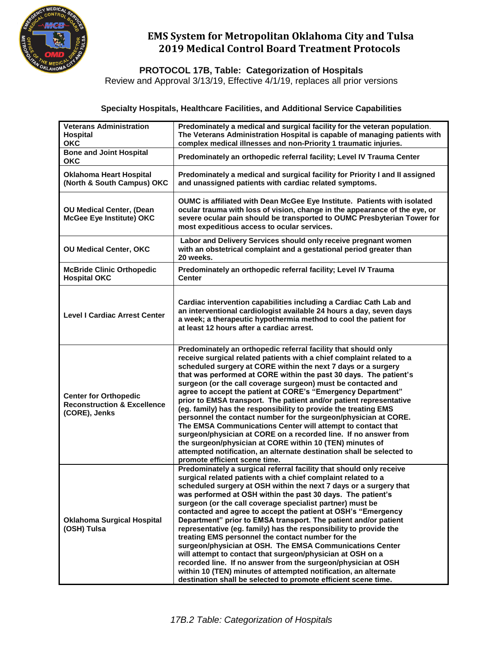

**PROTOCOL 17B, Table: Categorization of Hospitals**

Review and Approval 3/13/19, Effective 4/1/19, replaces all prior versions

#### **Specialty Hospitals, Healthcare Facilities, and Additional Service Capabilities**

| <b>Veterans Administration</b><br><b>Hospital</b><br><b>OKC</b>                         | Predominately a medical and surgical facility for the veteran population.<br>The Veterans Administration Hospital is capable of managing patients with<br>complex medical illnesses and non-Priority 1 traumatic injuries.                                                                                                                                                                                                                                                                                                                                                                                                                                                                                                                                                                                                                                                                                                          |  |  |  |  |  |
|-----------------------------------------------------------------------------------------|-------------------------------------------------------------------------------------------------------------------------------------------------------------------------------------------------------------------------------------------------------------------------------------------------------------------------------------------------------------------------------------------------------------------------------------------------------------------------------------------------------------------------------------------------------------------------------------------------------------------------------------------------------------------------------------------------------------------------------------------------------------------------------------------------------------------------------------------------------------------------------------------------------------------------------------|--|--|--|--|--|
| <b>Bone and Joint Hospital</b><br><b>OKC</b>                                            | Predominately an orthopedic referral facility; Level IV Trauma Center                                                                                                                                                                                                                                                                                                                                                                                                                                                                                                                                                                                                                                                                                                                                                                                                                                                               |  |  |  |  |  |
| Oklahoma Heart Hospital<br>(North & South Campus) OKC                                   | Predominately a medical and surgical facility for Priority I and II assigned<br>and unassigned patients with cardiac related symptoms.                                                                                                                                                                                                                                                                                                                                                                                                                                                                                                                                                                                                                                                                                                                                                                                              |  |  |  |  |  |
| <b>OU Medical Center, (Dean</b><br>McGee Eye Institute) OKC                             | OUMC is affiliated with Dean McGee Eye Institute. Patients with isolated<br>ocular trauma with loss of vision, change in the appearance of the eye, or<br>severe ocular pain should be transported to OUMC Presbyterian Tower for<br>most expeditious access to ocular services.                                                                                                                                                                                                                                                                                                                                                                                                                                                                                                                                                                                                                                                    |  |  |  |  |  |
| <b>OU Medical Center, OKC</b>                                                           | Labor and Delivery Services should only receive pregnant women<br>with an obstetrical complaint and a gestational period greater than<br>20 weeks.                                                                                                                                                                                                                                                                                                                                                                                                                                                                                                                                                                                                                                                                                                                                                                                  |  |  |  |  |  |
| <b>McBride Clinic Orthopedic</b><br><b>Hospital OKC</b>                                 | Predominately an orthopedic referral facility; Level IV Trauma<br><b>Center</b>                                                                                                                                                                                                                                                                                                                                                                                                                                                                                                                                                                                                                                                                                                                                                                                                                                                     |  |  |  |  |  |
| <b>Level I Cardiac Arrest Center</b>                                                    | Cardiac intervention capabilities including a Cardiac Cath Lab and<br>an interventional cardiologist available 24 hours a day, seven days<br>a week; a therapeutic hypothermia method to cool the patient for<br>at least 12 hours after a cardiac arrest.                                                                                                                                                                                                                                                                                                                                                                                                                                                                                                                                                                                                                                                                          |  |  |  |  |  |
| <b>Center for Orthopedic</b><br><b>Reconstruction &amp; Excellence</b><br>(CORE), Jenks | Predominately an orthopedic referral facility that should only<br>receive surgical related patients with a chief complaint related to a<br>scheduled surgery at CORE within the next 7 days or a surgery<br>that was performed at CORE within the past 30 days. The patient's<br>surgeon (or the call coverage surgeon) must be contacted and<br>agree to accept the patient at CORE's "Emergency Department"<br>prior to EMSA transport. The patient and/or patient representative<br>(eg. family) has the responsibility to provide the treating EMS<br>personnel the contact number for the surgeon/physician at CORE.<br>The EMSA Communications Center will attempt to contact that<br>surgeon/physician at CORE on a recorded line. If no answer from<br>the surgeon/physician at CORE within 10 (TEN) minutes of<br>attempted notification, an alternate destination shall be selected to<br>promote efficient scene time.   |  |  |  |  |  |
| <b>Oklahoma Surgical Hospital</b><br>(OSH) Tulsa                                        | Predominately a surgical referral facility that should only receive<br>surgical related patients with a chief complaint related to a<br>scheduled surgery at OSH within the next 7 days or a surgery that<br>was performed at OSH within the past 30 days. The patient's<br>surgeon (or the call coverage specialist partner) must be<br>contacted and agree to accept the patient at OSH's "Emergency<br>Department" prior to EMSA transport. The patient and/or patient<br>representative (eg. family) has the responsibility to provide the<br>treating EMS personnel the contact number for the<br>surgeon/physician at OSH. The EMSA Communications Center<br>will attempt to contact that surgeon/physician at OSH on a<br>recorded line. If no answer from the surgeon/physician at OSH<br>within 10 (TEN) minutes of attempted notification, an alternate<br>destination shall be selected to promote efficient scene time. |  |  |  |  |  |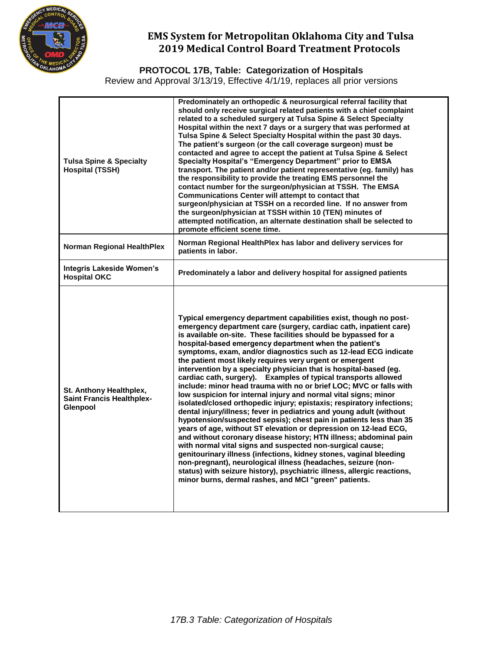

**PROTOCOL 17B, Table: Categorization of Hospitals**

Review and Approval 3/13/19, Effective 4/1/19, replaces all prior versions

| <b>Tulsa Spine &amp; Specialty</b><br><b>Hospital (TSSH)</b>            | Predominately an orthopedic & neurosurgical referral facility that<br>should only receive surgical related patients with a chief complaint<br>related to a scheduled surgery at Tulsa Spine & Select Specialty<br>Hospital within the next 7 days or a surgery that was performed at<br>Tulsa Spine & Select Specialty Hospital within the past 30 days.<br>The patient's surgeon (or the call coverage surgeon) must be<br>contacted and agree to accept the patient at Tulsa Spine & Select<br>Specialty Hospital's "Emergency Department" prior to EMSA<br>transport. The patient and/or patient representative (eg. family) has<br>the responsibility to provide the treating EMS personnel the<br>contact number for the surgeon/physician at TSSH. The EMSA<br><b>Communications Center will attempt to contact that</b><br>surgeon/physician at TSSH on a recorded line. If no answer from<br>the surgeon/physician at TSSH within 10 (TEN) minutes of<br>attempted notification, an alternate destination shall be selected to<br>promote efficient scene time.                                                                                                                                                                                                                                                                                                                  |
|-------------------------------------------------------------------------|------------------------------------------------------------------------------------------------------------------------------------------------------------------------------------------------------------------------------------------------------------------------------------------------------------------------------------------------------------------------------------------------------------------------------------------------------------------------------------------------------------------------------------------------------------------------------------------------------------------------------------------------------------------------------------------------------------------------------------------------------------------------------------------------------------------------------------------------------------------------------------------------------------------------------------------------------------------------------------------------------------------------------------------------------------------------------------------------------------------------------------------------------------------------------------------------------------------------------------------------------------------------------------------------------------------------------------------------------------------------------------------|
| <b>Norman Regional HealthPlex</b>                                       | Norman Regional HealthPlex has labor and delivery services for<br>patients in labor.                                                                                                                                                                                                                                                                                                                                                                                                                                                                                                                                                                                                                                                                                                                                                                                                                                                                                                                                                                                                                                                                                                                                                                                                                                                                                                     |
| Integris Lakeside Women's<br><b>Hospital OKC</b>                        | Predominately a labor and delivery hospital for assigned patients                                                                                                                                                                                                                                                                                                                                                                                                                                                                                                                                                                                                                                                                                                                                                                                                                                                                                                                                                                                                                                                                                                                                                                                                                                                                                                                        |
| St. Anthony Healthplex,<br><b>Saint Francis Healthplex-</b><br>Glenpool | Typical emergency department capabilities exist, though no post-<br>emergency department care (surgery, cardiac cath, inpatient care)<br>is available on-site. These facilities should be bypassed for a<br>hospital-based emergency department when the patient's<br>symptoms, exam, and/or diagnostics such as 12-lead ECG indicate<br>the patient most likely requires very urgent or emergent<br>intervention by a specialty physician that is hospital-based (eg.<br>cardiac cath, surgery). Examples of typical transports allowed<br>include: minor head trauma with no or brief LOC; MVC or falls with<br>low suspicion for internal injury and normal vital signs; minor<br>isolated/closed orthopedic injury; epistaxis; respiratory infections;<br>dental injury/illness; fever in pediatrics and young adult (without<br>hypotension/suspected sepsis); chest pain in patients less than 35<br>years of age, without ST elevation or depression on 12-lead ECG,<br>and without coronary disease history; HTN illness; abdominal pain<br>with normal vital signs and suspected non-surgical cause;<br>genitourinary illness (infections, kidney stones, vaginal bleeding<br>non-pregnant), neurological illness (headaches, seizure (non-<br>status) with seizure history), psychiatric illness, allergic reactions,<br>minor burns, dermal rashes, and MCI "green" patients. |